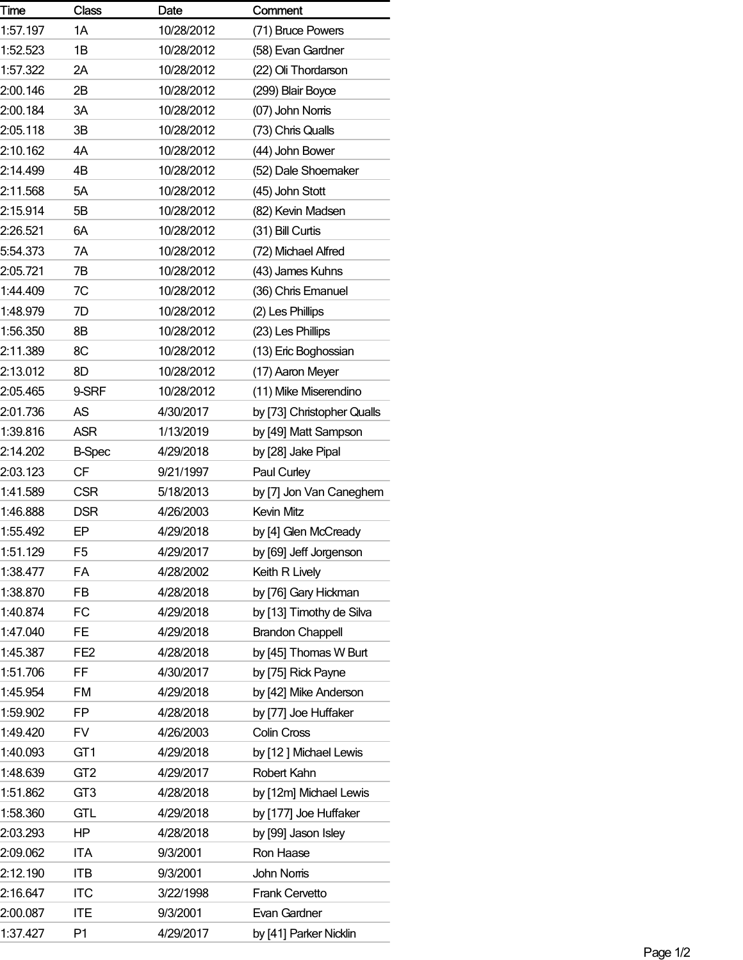| Time     | <b>Class</b>    | Date       | Comment                    |
|----------|-----------------|------------|----------------------------|
| 1:57.197 | 1A              | 10/28/2012 | (71) Bruce Powers          |
| 1:52.523 | 1B              | 10/28/2012 | (58) Evan Gardner          |
| 1:57.322 | 2Α              | 10/28/2012 | (22) Oli Thordarson        |
| 2:00.146 | 2Β              | 10/28/2012 | (299) Blair Boyce          |
| 2:00.184 | 3A              | 10/28/2012 | (07) John Noms             |
| 2:05.118 | 3B              | 10/28/2012 | (73) Chris Qualls          |
| 2:10.162 | 4A              | 10/28/2012 | (44) John Bower            |
| 2:14.499 | 4B              | 10/28/2012 | (52) Dale Shoemaker        |
| 2:11.568 | 5A              | 10/28/2012 | (45) John Stott            |
| 2:15.914 | 5B              | 10/28/2012 | (82) Kevin Madsen          |
| 2:26.521 | 6A              | 10/28/2012 | (31) Bill Curtis           |
| 5:54.373 | 7A              | 10/28/2012 | (72) Michael Alfred        |
| 2:05.721 | 7B              | 10/28/2012 | (43) James Kuhns           |
| 1:44.409 | 7C              | 10/28/2012 | (36) Chris Emanuel         |
| 1:48.979 | 7D              | 10/28/2012 | (2) Les Phillips           |
| 1:56.350 | 8B              | 10/28/2012 | (23) Les Phillips          |
| 2:11.389 | 8C              | 10/28/2012 | (13) Eric Boghossian       |
| 2:13.012 | 8D              | 10/28/2012 | (17) Aaron Meyer           |
| 2:05.465 | 9-SRF           | 10/28/2012 | (11) Mike Miserendino      |
| 2:01.736 | AS              | 4/30/2017  | by [73] Christopher Qualls |
| 1:39.816 | <b>ASR</b>      | 1/13/2019  | by [49] Matt Sampson       |
| 2:14.202 | <b>B-Spec</b>   | 4/29/2018  | by [28] Jake Pipal         |
| 2:03.123 | CF              | 9/21/1997  | Paul Curley                |
| 1:41.589 | <b>CSR</b>      | 5/18/2013  | by [7] Jon Van Caneghem    |
| 1:46.888 | <b>DSR</b>      | 4/26/2003  | Kevin Mitz                 |
| 1:55.492 | EP              | 4/29/2018  | by [4] Glen McCready       |
| 1:51.129 | F <sub>5</sub>  | 4/29/2017  | by [69] Jeff Jorgenson     |
| 1:38.477 | FA              | 4/28/2002  | Keith R Lively             |
| 1:38.870 | FB              | 4/28/2018  | by [76] Gary Hickman       |
| 1:40.874 | FC              | 4/29/2018  | by [13] Timothy de Silva   |
| 1:47.040 | <b>FE</b>       | 4/29/2018  | <b>Brandon Chappell</b>    |
| 1:45.387 | FE <sub>2</sub> | 4/28/2018  | by [45] Thomas W Burt      |
| 1:51.706 | FF              | 4/30/2017  | by [75] Rick Payne         |
| 1:45.954 | <b>FM</b>       | 4/29/2018  | by [42] Mike Anderson      |
| 1:59.902 | FP.             | 4/28/2018  | by [77] Joe Huffaker       |
| 1:49.420 | <b>FV</b>       | 4/26/2003  | Colin Cross                |
| 1:40.093 | GT <sub>1</sub> | 4/29/2018  | by [12] Michael Lewis      |
| 1:48.639 | GT <sub>2</sub> | 4/29/2017  | Robert Kahn                |
| 1:51.862 | GT <sub>3</sub> | 4/28/2018  | by [12m] Michael Lewis     |
| 1:58.360 | <b>GTL</b>      | 4/29/2018  | by [177] Joe Huffaker      |
| 2:03.293 | HP              | 4/28/2018  | by [99] Jason Isley        |
| 2:09.062 | <b>ITA</b>      | 9/3/2001   | Ron Haase                  |
| 2:12.190 | <b>ITB</b>      | 9/3/2001   | John Noms                  |
| 2:16.647 | <b>ITC</b>      | 3/22/1998  | Frank Cervetto             |
| 2:00.087 | <b>ITE</b>      | 9/3/2001   | Evan Gardner               |
| 1:37.427 | P <sub>1</sub>  | 4/29/2017  | by [41] Parker Nicklin     |